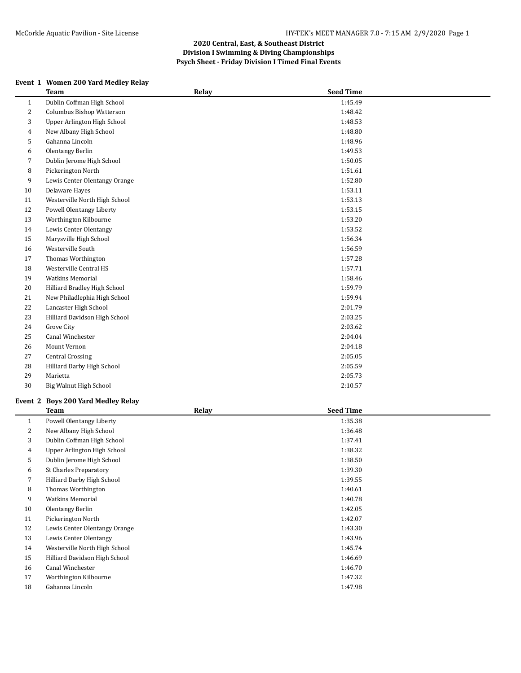## **Event 1 Women 200 Yard Medley Relay**

|                | <b>Team</b>                   | Relay | <b>Seed Time</b> |  |
|----------------|-------------------------------|-------|------------------|--|
| $\mathbf{1}$   | Dublin Coffman High School    |       | 1:45.49          |  |
| $\overline{c}$ | Columbus Bishop Watterson     |       | 1:48.42          |  |
| 3              | Upper Arlington High School   |       | 1:48.53          |  |
| 4              | New Albany High School        |       | 1:48.80          |  |
| 5              | Gahanna Lincoln               |       | 1:48.96          |  |
| 6              | Olentangy Berlin              |       | 1:49.53          |  |
| 7              | Dublin Jerome High School     |       | 1:50.05          |  |
| 8              | Pickerington North            |       | 1:51.61          |  |
| 9              | Lewis Center Olentangy Orange |       | 1:52.80          |  |
| 10             | Delaware Hayes                |       | 1:53.11          |  |
| 11             | Westerville North High School |       | 1:53.13          |  |
| 12             | Powell Olentangy Liberty      |       | 1:53.15          |  |
| 13             | Worthington Kilbourne         |       | 1:53.20          |  |
| 14             | Lewis Center Olentangy        |       | 1:53.52          |  |
| 15             | Marysville High School        |       | 1:56.34          |  |
| 16             | Westerville South             |       | 1:56.59          |  |
| 17             | Thomas Worthington            |       | 1:57.28          |  |
| 18             | Westerville Central HS        |       | 1:57.71          |  |
| 19             | <b>Watkins Memorial</b>       |       | 1:58.46          |  |
| 20             | Hilliard Bradley High School  |       | 1:59.79          |  |
| 21             | New Philadlephia High School  |       | 1:59.94          |  |
| 22             | Lancaster High School         |       | 2:01.79          |  |
| 23             | Hilliard Davidson High School |       | 2:03.25          |  |
| 24             | Grove City                    |       | 2:03.62          |  |
| 25             | Canal Winchester              |       | 2:04.04          |  |
| 26             | <b>Mount Vernon</b>           |       | 2:04.18          |  |
| 27             | <b>Central Crossing</b>       |       | 2:05.05          |  |
| 28             | Hilliard Darby High School    |       | 2:05.59          |  |
| 29             | Marietta                      |       | 2:05.73          |  |
| 30             | Big Walnut High School        |       | 2:10.57          |  |
|                |                               |       |                  |  |

#### **Event 2 Boys 200 Yard Medley Relay**

|              | <b>Team</b>                   | Relay | <b>Seed Time</b> |  |
|--------------|-------------------------------|-------|------------------|--|
| $\mathbf{1}$ | Powell Olentangy Liberty      |       | 1:35.38          |  |
| 2            | New Albany High School        |       | 1:36.48          |  |
| 3            | Dublin Coffman High School    |       | 1:37.41          |  |
| 4            | Upper Arlington High School   |       | 1:38.32          |  |
| 5            | Dublin Jerome High School     |       | 1:38.50          |  |
| 6            | <b>St Charles Preparatory</b> |       | 1:39.30          |  |
| 7            | Hilliard Darby High School    |       | 1:39.55          |  |
| 8            | Thomas Worthington            |       | 1:40.61          |  |
| 9            | <b>Watkins Memorial</b>       |       | 1:40.78          |  |
| 10           | Olentangy Berlin              |       | 1:42.05          |  |
| 11           | Pickerington North            |       | 1:42.07          |  |
| 12           | Lewis Center Olentangy Orange |       | 1:43.30          |  |
| 13           | Lewis Center Olentangy        |       | 1:43.96          |  |
| 14           | Westerville North High School |       | 1:45.74          |  |
| 15           | Hilliard Davidson High School |       | 1:46.69          |  |
| 16           | Canal Winchester              |       | 1:46.70          |  |
| 17           | Worthington Kilbourne         |       | 1:47.32          |  |
| 18           | Gahanna Lincoln               |       | 1:47.98          |  |
|              |                               |       |                  |  |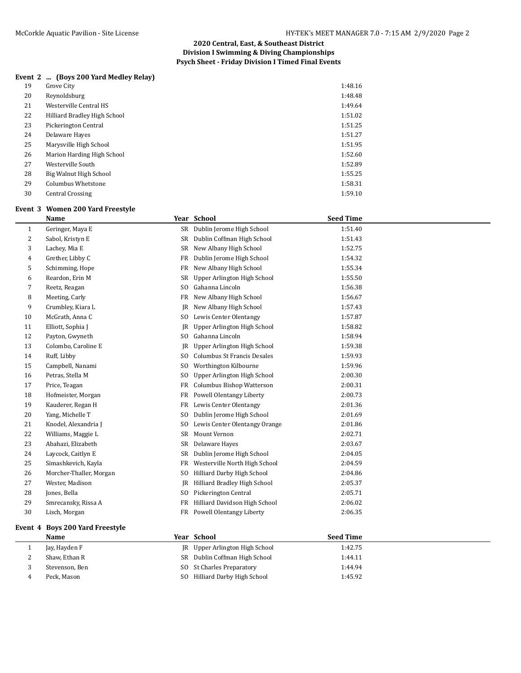# **Event 2 ... (Boys 200 Yard Medley Relay)**

| 19 | Grove City                   | 1:48.16 |
|----|------------------------------|---------|
| 20 | Reynoldsburg                 | 1:48.48 |
| 21 | Westerville Central HS       | 1:49.64 |
| 22 | Hilliard Bradley High School | 1:51.02 |
| 23 | Pickerington Central         | 1:51.25 |
| 24 | Delaware Hayes               | 1:51.27 |
| 25 | Marysville High School       | 1:51.95 |
| 26 | Marion Harding High School   | 1:52.60 |
| 27 | Westerville South            | 1:52.89 |
| 28 | Big Walnut High School       | 1:55.25 |
| 29 | Columbus Whetstone           | 1:58.31 |
| 30 | <b>Central Crossing</b>      | 1:59.10 |

#### **Event 3 Women 200 Yard Freestyle**

|              | <b>Name</b>             |                | Year School                        | <b>Seed Time</b> |
|--------------|-------------------------|----------------|------------------------------------|------------------|
| $\mathbf{1}$ | Geringer, Maya E        | SR             | Dublin Jerome High School          | 1:51.40          |
| 2            | Sabol, Kristyn E        | <b>SR</b>      | Dublin Coffman High School         | 1:51.43          |
| 3            | Lachey, Mia E           | SR             | New Albany High School             | 1:52.75          |
| 4            | Grether, Libby C        | FR             | Dublin Jerome High School          | 1:54.32          |
| 5            | Schimming, Hope         | <b>FR</b>      | New Albany High School             | 1:55.34          |
| 6            | Reardon, Erin M         | <b>SR</b>      | Upper Arlington High School        | 1:55.50          |
| 7            | Reetz, Reagan           | S <sub>0</sub> | Gahanna Lincoln                    | 1:56.38          |
| 8            | Meeting, Carly          | FR             | New Albany High School             | 1:56.67          |
| 9            | Crumbley, Kiara L       | IR             | New Albany High School             | 1:57.43          |
| 10           | McGrath, Anna C         | S <sub>0</sub> | Lewis Center Olentangy             | 1:57.87          |
| 11           | Elliott, Sophia J       | JR             | Upper Arlington High School        | 1:58.82          |
| 12           | Payton, Gwyneth         | S <sub>0</sub> | Gahanna Lincoln                    | 1:58.94          |
| 13           | Colombo, Caroline E     | JR             | Upper Arlington High School        | 1:59.38          |
| 14           | Ruff, Libby             | S <sub>0</sub> | <b>Columbus St Francis Desales</b> | 1:59.93          |
| 15           | Campbell, Nanami        | S <sub>0</sub> | Worthington Kilbourne              | 1:59.96          |
| 16           | Petras, Stella M        | S <sub>0</sub> | Upper Arlington High School        | 2:00.30          |
| 17           | Price, Teagan           | FR             | Columbus Bishop Watterson          | 2:00.31          |
| 18           | Hofmeister, Morgan      | FR             | <b>Powell Olentangy Liberty</b>    | 2:00.73          |
| 19           | Kauderer, Regan H       | FR             | Lewis Center Olentangy             | 2:01.36          |
| 20           | Yang, Michelle T        | S <sub>0</sub> | Dublin Jerome High School          | 2:01.69          |
| 21           | Knodel, Alexandria J    | S <sub>0</sub> | Lewis Center Olentangy Orange      | 2:01.86          |
| 22           | Williams, Maggie L      | <b>SR</b>      | Mount Vernon                       | 2:02.71          |
| 23           | Abahazi, Elizabeth      | SR             | Delaware Hayes                     | 2:03.67          |
| 24           | Laycock, Caitlyn E      | <b>SR</b>      | Dublin Jerome High School          | 2:04.05          |
| 25           | Simashkevich, Kayla     | FR             | Westerville North High School      | 2:04.59          |
| 26           | Morcher-Thaller, Morgan | S <sub>O</sub> | Hilliard Darby High School         | 2:04.86          |
| 27           | Wester, Madison         | <b>JR</b>      | Hilliard Bradley High School       | 2:05.37          |
| 28           | Jones, Bella            | S <sub>0</sub> | Pickerington Central               | 2:05.71          |
| 29           | Smrecansky, Rissa A     | FR             | Hilliard Davidson High School      | 2:06.02          |
| 30           | Lisch, Morgan           | FR             | Powell Olentangy Liberty           | 2:06.35          |

## **Event 4 Boys 200 Yard Freestyle**

|          | Name           |     | Year School                    | <b>Seed Time</b> |
|----------|----------------|-----|--------------------------------|------------------|
|          | Jay, Hayden F  |     | JR Upper Arlington High School | 1:42.75          |
| <u>.</u> | Shaw, Ethan R  |     | SR Dublin Coffman High School  | 1:44.11          |
|          | Stevenson, Ben |     | SO St Charles Preparatory      | 1:44.94          |
|          | Peck. Mason    | SO. | Hilliard Darby High School     | 1:45.92          |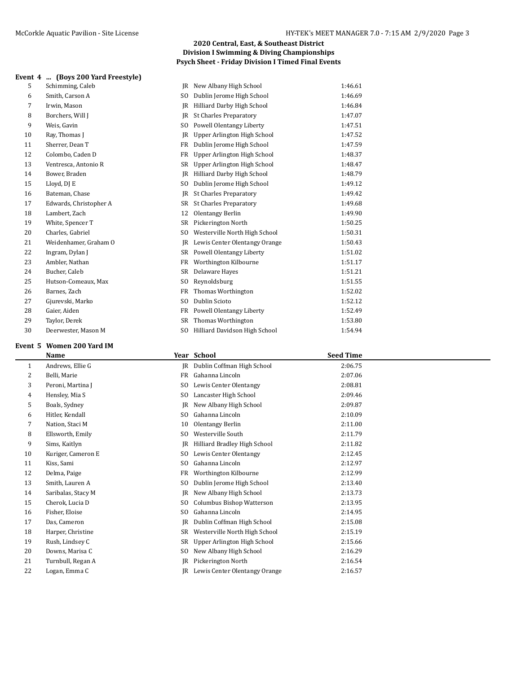## **Event 4 ... (Boys 200 Yard Freestyle)**

| ent 4 | (Boys 200 Yard Freestyle) |           |                               |         |
|-------|---------------------------|-----------|-------------------------------|---------|
| 5     | Schimming, Caleb          | IR        | New Albany High School        | 1:46.61 |
| 6     | Smith, Carson A           | SO        | Dublin Jerome High School     | 1:46.69 |
| 7     | Irwin, Mason              | IR        | Hilliard Darby High School    | 1:46.84 |
| 8     | Borchers, Will J          | IR        | <b>St Charles Preparatory</b> | 1:47.07 |
| 9     | Weis, Gavin               | SO.       | Powell Olentangy Liberty      | 1:47.51 |
| 10    | Ray, Thomas I             | IR        | Upper Arlington High School   | 1:47.52 |
| 11    | Sherrer, Dean T           | <b>FR</b> | Dublin Jerome High School     | 1:47.59 |
| 12    | Colombo, Caden D          | FR        | Upper Arlington High School   | 1:48.37 |
| 13    | Ventresca, Antonio R      | SR        | Upper Arlington High School   | 1:48.47 |
| 14    | Bower, Braden             | IR        | Hilliard Darby High School    | 1:48.79 |
| 15    | Lloyd, DJ E               | SO.       | Dublin Jerome High School     | 1:49.12 |
| 16    | Bateman, Chase            | IR        | St Charles Preparatory        | 1:49.42 |
| 17    | Edwards, Christopher A    | SR        | <b>St Charles Preparatory</b> | 1:49.68 |
| 18    | Lambert, Zach             | 12        | Olentangy Berlin              | 1:49.90 |
| 19    | White, Spencer T          | SR        | Pickerington North            | 1:50.25 |
| 20    | Charles, Gabriel          | SO        | Westerville North High School | 1:50.31 |
| 21    | Weidenhamer. Graham O     | IR        | Lewis Center Olentangy Orange | 1:50.43 |

| 19 | White, Spencer T      |     | SR Pickerington North            | 1:50.25 |
|----|-----------------------|-----|----------------------------------|---------|
| 20 | Charles, Gabriel      |     | SO Westerville North High School | 1:50.31 |
| 21 | Weidenhamer, Graham O |     | JR Lewis Center Olentangy Orange | 1:50.43 |
| 22 | Ingram, Dylan J       |     | SR Powell Olentangy Liberty      | 1:51.02 |
| 23 | Ambler, Nathan        |     | FR Worthington Kilbourne         | 1:51.17 |
| 24 | Bucher, Caleb         |     | SR Delaware Hayes                | 1:51.21 |
| 25 | Hutson-Comeaux, Max   |     | SO Reynoldsburg                  | 1:51.55 |
| 26 | Barnes, Zach          |     | FR Thomas Worthington            | 1:52.02 |
| 27 | Gjurevski, Marko      | SO. | Dublin Scioto                    | 1:52.12 |
| 28 | Gaier, Aiden          |     | FR Powell Olentangy Liberty      | 1:52.49 |
| 29 | Taylor, Derek         |     | SR Thomas Worthington            | 1:53.80 |
| 30 | Deerwester, Mason M   | SO. | Hilliard Davidson High School    | 1:54.94 |

## **Event 5 Women 200 Yard IM**

| Name               |                |                               | <b>Seed Time</b>                             |
|--------------------|----------------|-------------------------------|----------------------------------------------|
| Andrews, Ellie G   | <b>JR</b>      | Dublin Coffman High School    | 2:06.75                                      |
| Belli, Marie       | <b>FR</b>      | Gahanna Lincoln               | 2:07.06                                      |
| Peroni, Martina J  | S <sub>0</sub> | Lewis Center Olentangy        | 2:08.81                                      |
| Hensley, Mia S     | S <sub>0</sub> | Lancaster High School         | 2:09.46                                      |
| Boals, Sydney      | JR             | New Albany High School        | 2:09.87                                      |
| Hitler, Kendall    | S <sub>0</sub> | Gahanna Lincoln               | 2:10.09                                      |
| Nation, Staci M    | 10             | Olentangy Berlin              | 2:11.00                                      |
| Ellsworth, Emily   | S <sub>0</sub> | Westerville South             | 2:11.79                                      |
| Sims, Kaitlyn      | JR             | Hilliard Bradley High School  | 2:11.82                                      |
| Kuriger, Cameron E | S <sub>0</sub> | Lewis Center Olentangy        | 2:12.45                                      |
| Kiss, Sami         | S <sub>0</sub> | Gahanna Lincoln               | 2:12.97                                      |
| Delma, Paige       | FR             | Worthington Kilbourne         | 2:12.99                                      |
| Smith, Lauren A    | S <sub>0</sub> | Dublin Jerome High School     | 2:13.40                                      |
| Saribalas, Stacy M | JR             | New Albany High School        | 2:13.73                                      |
| Cherok, Lucia D    | S <sub>0</sub> | Columbus Bishop Watterson     | 2:13.95                                      |
| Fisher, Eloise     | S <sub>0</sub> | Gahanna Lincoln               | 2:14.95                                      |
| Das, Cameron       | JR             | Dublin Coffman High School    | 2:15.08                                      |
| Harper, Christine  | SR             | Westerville North High School | 2:15.19                                      |
| Rush, Lindsey C    | SR             | Upper Arlington High School   | 2:15.66                                      |
| Downs, Marisa C    | S <sub>0</sub> | New Albany High School        | 2:16.29                                      |
| Turnbull, Regan A  | <b>IR</b>      | Pickerington North            | 2:16.54                                      |
| Logan, Emma C      | JR             |                               | 2:16.57                                      |
|                    |                |                               | Year School<br>Lewis Center Olentangy Orange |

#### **2020 Central, East, & Southeast District Division I Swimming & Diving Championships Psych Sheet - Friday Division I Timed Final Events**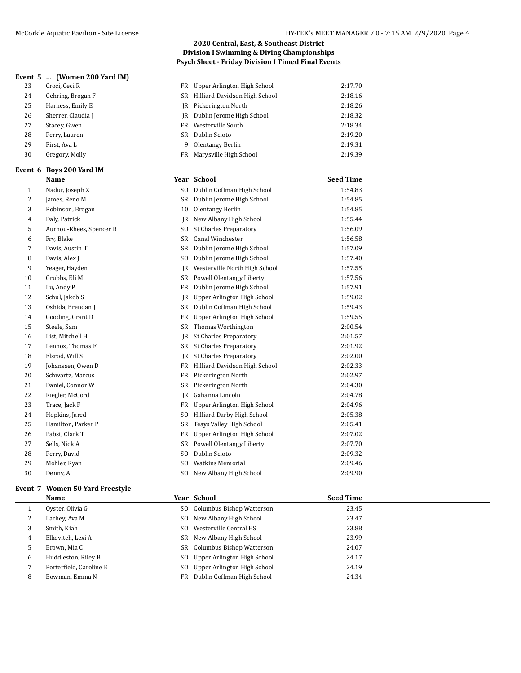#### **Event 5 ... (Women 200 Yard IM)**

| 23 | Croci, Ceci R      |   | FR Upper Arlington High School   | 2:17.70 |
|----|--------------------|---|----------------------------------|---------|
| 24 | Gehring, Brogan F  |   | SR Hilliard Davidson High School | 2:18.16 |
| 25 | Harness, Emily E   |   | <b>IR</b> Pickerington North     | 2:18.26 |
| 26 | Sherrer, Claudia J |   | JR Dublin Jerome High School     | 2:18.32 |
| 27 | Stacey, Gwen       |   | FR Westerville South             | 2:18.34 |
| 28 | Perry, Lauren      |   | SR Dublin Scioto                 | 2:19.20 |
| 29 | First, Ava L       | 9 | Olentangy Berlin                 | 2:19.31 |
| 30 | Gregory, Molly     |   | FR Marysville High School        | 2:19.39 |
|    |                    |   |                                  |         |

#### **Event 6 Boys 200 Yard IM**

| McCorkle Aquatic Pavilion - Site License | HY-TEK's MEET MANAGER 7.0 - 7:15 AM 2/9/2020 Page 4 |
|------------------------------------------|-----------------------------------------------------|
|------------------------------------------|-----------------------------------------------------|

## **2020 Central, East, & Southeast District Division I Swimming & Diving Championships Psych Sheet - Friday Division I Timed Final Events**

|    | FR Upper Arlington High School   | 2:17.70 |
|----|----------------------------------|---------|
|    | SR Hilliard Davidson High School | 2:18.16 |
| IR | Pickerington North               | 2:18.26 |
|    | JR Dublin Jerome High School     | 2:18.32 |
|    | FR Westerville South             | 2:18.34 |
|    | SR Dublin Scioto                 | 2:19.20 |
| 9  | Olentangy Berlin                 | 2:19.31 |
|    | FR Marysville High School        | 2:19.39 |
|    |                                  |         |

|                | <b>Name</b>             |                | Year School                     | <b>Seed Time</b> |
|----------------|-------------------------|----------------|---------------------------------|------------------|
| $\mathbf{1}$   | Nadur, Joseph Z         | S <sub>O</sub> | Dublin Coffman High School      | 1:54.83          |
| $\overline{c}$ | James, Reno M           | SR             | Dublin Jerome High School       | 1:54.85          |
| 3              | Robinson, Brogan        | 10             | Olentangy Berlin                | 1:54.85          |
| 4              | Daly, Patrick           | IR             | New Albany High School          | 1:55.44          |
| 5              | Aurnou-Rhees, Spencer R | SO.            | <b>St Charles Preparatory</b>   | 1:56.09          |
| 6              | Fry, Blake              | SR             | Canal Winchester                | 1:56.58          |
| 7              | Davis, Austin T         | SR             | Dublin Jerome High School       | 1:57.09          |
| 8              | Davis, Alex J           | S <sub>0</sub> | Dublin Jerome High School       | 1:57.40          |
| 9              | Yeager, Hayden          | IR             | Westerville North High School   | 1:57.55          |
| 10             | Grubbs, Eli M           | SR             | Powell Olentangy Liberty        | 1:57.56          |
| 11             | Lu, Andy P              | FR             | Dublin Jerome High School       | 1:57.91          |
| 12             | Schul, Jakob S          | JR             | Upper Arlington High School     | 1:59.02          |
| 13             | Oshida, Brendan J       | SR             | Dublin Coffman High School      | 1:59.43          |
| 14             | Gooding, Grant D        | FR             | Upper Arlington High School     | 1:59.55          |
| 15             | Steele, Sam             | SR             | Thomas Worthington              | 2:00.54          |
| 16             | List, Mitchell H        | JR             | <b>St Charles Preparatory</b>   | 2:01.57          |
| 17             | Lennox, Thomas F        | SR             | <b>St Charles Preparatory</b>   | 2:01.92          |
| 18             | Elsrod, Will S          | IR             | <b>St Charles Preparatory</b>   | 2:02.00          |
| 19             | Johanssen, Owen D       | FR             | Hilliard Davidson High School   | 2:02.33          |
| 20             | Schwartz, Marcus        | FR             | Pickerington North              | 2:02.97          |
| 21             | Daniel, Connor W        | SR             | Pickerington North              | 2:04.30          |
| 22             | Riegler, McCord         | IR             | Gahanna Lincoln                 | 2:04.78          |
| 23             | Trace, Jack F           | FR             | Upper Arlington High School     | 2:04.96          |
| 24             | Hopkins, Jared          | S <sub>0</sub> | Hilliard Darby High School      | 2:05.38          |
| 25             | Hamilton, Parker P      | <b>SR</b>      | Teays Valley High School        | 2:05.41          |
| 26             | Pabst, Clark T          | FR             | Upper Arlington High School     | 2:07.02          |
| 27             | Sells, Nick A           | SR             | <b>Powell Olentangy Liberty</b> | 2:07.70          |
| 28             | Perry, David            | S <sub>0</sub> | Dublin Scioto                   | 2:09.32          |
| 29             | Mohler, Ryan            | S <sub>0</sub> | <b>Watkins Memorial</b>         | 2:09.46          |
| 30             | Denny, AJ               | S <sub>0</sub> | New Albany High School          | 2:09.90          |
|                |                         |                |                                 |                  |

## **Event 7 Women 50 Yard Freestyle**

| Event 7 | women 50 yard Freestyle |                                |                  |  |
|---------|-------------------------|--------------------------------|------------------|--|
|         | Name                    | Year School                    | <b>Seed Time</b> |  |
|         | Oyster, Olivia G        | SO Columbus Bishop Watterson   | 23.45            |  |
| 2       | Lachey, Ava M           | SO New Albany High School      | 23.47            |  |
| 3       | Smith, Kiah             | SO Westerville Central HS      | 23.88            |  |
| 4       | Elkovitch, Lexi A       | SR New Albany High School      | 23.99            |  |
| כ       | Brown, Mia C            | SR Columbus Bishop Watterson   | 24.07            |  |
| 6       | Huddleston, Riley B     | SO Upper Arlington High School | 24.17            |  |
|         | Porterfield, Caroline E | SO Upper Arlington High School | 24.19            |  |
| 8       | Bowman, Emma N          | FR Dublin Coffman High School  | 24.34            |  |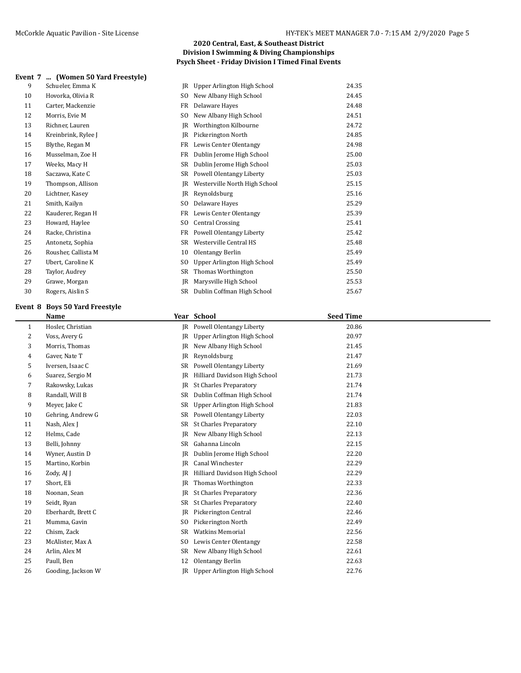9 Schueler, Emma K 10 Hovorka, Olivia R 11 Carter, Mackenzie 12 Morris, Evie M 13 Richner, Lauren 14 Kreinbrink, Rylee J 15 Blythe, Regan M 16 Musselman, Zoe H 17 Weeks, Macy H 18 Saczawa, Kate C 19 Thompson, Allison 20 Lichtner, Kasey 21 Smith, Kailyn 22 Kauderer, Regan H 23 Howard, Haylee 24 Racke, Christina 25 Antonetz, Sophia 26 Rousher, Callista M 27 Ubert, Caroline K 28 Taylor, Audrey 29 Grawe, Morgan 30 Rogers, Aislin S

| Division I Swimming & Diving Championships                |  |  |  |  |  |
|-----------------------------------------------------------|--|--|--|--|--|
| <b>Psych Sheet - Friday Division I Timed Final Events</b> |  |  |  |  |  |
|                                                           |  |  |  |  |  |
|                                                           |  |  |  |  |  |

| Upper Arlington High School   | 24.35 |
|-------------------------------|-------|
| New Albany High School        | 24.45 |
| Delaware Hayes                | 24.48 |
| New Albany High School        | 24.51 |
| Worthington Kilbourne         | 24.72 |
| Pickerington North            | 24.85 |
| Lewis Center Olentangy        | 24.98 |
| Dublin Jerome High School     | 25.00 |
| Dublin Jerome High School     | 25.03 |
| Powell Olentangy Liberty      | 25.03 |
| Westerville North High School | 25.15 |
| Reynoldsburg                  | 25.16 |
| Delaware Hayes                | 25.29 |
| Lewis Center Olentangy        | 25.39 |
| <b>Central Crossing</b>       | 25.41 |
| Powell Olentangy Liberty      | 25.42 |
| Westerville Central HS        | 25.48 |
| Olentangy Berlin              | 25.49 |
| Upper Arlington High School   | 25.49 |
| <b>Thomas Worthington</b>     | 25.50 |
| Marysville High School        | 25.53 |
| Dublin Coffman High School    | 25.67 |
|                               |       |

**2020 Central, East, & Southeast District**

#### **Event 8 Boys 50 Yard Freestyle**

|              | <b>Name</b>        |                | Year School                   | <b>Seed Time</b> |
|--------------|--------------------|----------------|-------------------------------|------------------|
| $\mathbf{1}$ | Hosler, Christian  | IR             | Powell Olentangy Liberty      | 20.86            |
| 2            | Voss, Avery G      | JR             | Upper Arlington High School   | 20.97            |
| 3            | Morris, Thomas     | <b>JR</b>      | New Albany High School        | 21.45            |
| 4            | Gaver, Nate T      | JR             | Reynoldsburg                  | 21.47            |
| 5            | Iversen, Isaac C   | SR             | Powell Olentangy Liberty      | 21.69            |
| 6            | Suarez, Sergio M   | IR             | Hilliard Davidson High School | 21.73            |
| 7            | Rakowsky, Lukas    | JR             | <b>St Charles Preparatory</b> | 21.74            |
| 8            | Randall, Will B    | SR             | Dublin Coffman High School    | 21.74            |
| 9            | Meyer, Jake C      | SR             | Upper Arlington High School   | 21.83            |
| 10           | Gehring, Andrew G  | SR             | Powell Olentangy Liberty      | 22.03            |
| 11           | Nash, Alex J       | <b>SR</b>      | <b>St Charles Preparatory</b> | 22.10            |
| 12           | Helms, Cade        | <b>JR</b>      | New Albany High School        | 22.13            |
| 13           | Belli, Johnny      | <b>SR</b>      | Gahanna Lincoln               | 22.15            |
| 14           | Wyner, Austin D    | JR             | Dublin Jerome High School     | 22.20            |
| 15           | Martino, Korbin    | JR             | Canal Winchester              | 22.29            |
| 16           | Zody, AJ J         | <b>JR</b>      | Hilliard Davidson High School | 22.29            |
| 17           | Short, Eli         | JR             | Thomas Worthington            | 22.33            |
| 18           | Noonan, Sean       | JR             | <b>St Charles Preparatory</b> | 22.36            |
| 19           | Seidt, Ryan        | SR             | <b>St Charles Preparatory</b> | 22.40            |
| 20           | Eberhardt, Brett C | JR             | Pickerington Central          | 22.46            |
| 21           | Mumma, Gavin       | SO.            | Pickerington North            | 22.49            |
| 22           | Chism, Zack        | SR             | <b>Watkins Memorial</b>       | 22.56            |
| 23           | McAlister, Max A   | S <sub>0</sub> | Lewis Center Olentangy        | 22.58            |
| 24           | Arlin, Alex M      | SR             | New Albany High School        | 22.61            |
| 25           | Paull, Ben         | 12             | Olentangy Berlin              | 22.63            |
| 26           | Gooding, Jackson W | IR             | Upper Arlington High School   | 22.76            |
|              |                    |                |                               |                  |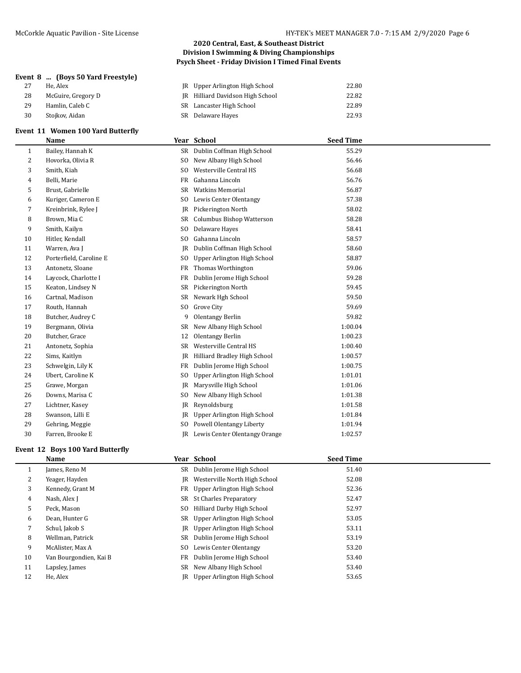## **Event 8 ... (Boys 50 Yard Freestyle)**

- 28 McGuire, Gregory D
- 29 Hamlin, Caleb C
- 30 Stojkov, Aidan

## **Event 11 Women 100 Yard Butterfly**

|    | Name                    |                | Year School                      | <b>Seed Time</b> |  |
|----|-------------------------|----------------|----------------------------------|------------------|--|
| 1  | Bailey, Hannah K        | SR             | Dublin Coffman High School       | 55.29            |  |
| 2  | Hovorka, Olivia R       | S <sub>0</sub> | New Albany High School           | 56.46            |  |
| 3  | Smith, Kiah             | S <sub>0</sub> | Westerville Central HS           | 56.68            |  |
| 4  | Belli, Marie            | FR             | Gahanna Lincoln                  | 56.76            |  |
| 5  | Brust, Gabrielle        | SR             | <b>Watkins Memorial</b>          | 56.87            |  |
| 6  | Kuriger, Cameron E      | S <sub>O</sub> | Lewis Center Olentangy           | 57.38            |  |
| 7  | Kreinbrink, Rylee J     | -IR            | Pickerington North               | 58.02            |  |
| 8  | Brown, Mia C            | SR             | <b>Columbus Bishop Watterson</b> | 58.28            |  |
| 9  | Smith, Kailyn           | S <sub>0</sub> | Delaware Hayes                   | 58.41            |  |
| 10 | Hitler, Kendall         | S <sub>0</sub> | Gahanna Lincoln                  | 58.57            |  |
| 11 | Warren, Ava J           | <b>IR</b>      | Dublin Coffman High School       | 58.60            |  |
| 12 | Porterfield, Caroline E | S <sub>O</sub> | Upper Arlington High School      | 58.87            |  |
| 13 | Antonetz, Sloane        | FR             | Thomas Worthington               | 59.06            |  |
| 14 | Laycock, Charlotte I    | FR             | Dublin Jerome High School        | 59.28            |  |
| 15 | Keaton, Lindsey N       | SR             | Pickerington North               | 59.45            |  |
| 16 | Cartnal, Madison        | SR             | Newark Hgh School                | 59.50            |  |
| 17 | Routh, Hannah           | SO.            | Grove City                       | 59.69            |  |
| 18 | Butcher, Audrey C       | 9              | <b>Olentangy Berlin</b>          | 59.82            |  |
| 19 | Bergmann, Olivia        | SR             | New Albany High School           | 1:00.04          |  |
| 20 | Butcher, Grace          | 12             | Olentangy Berlin                 | 1:00.23          |  |
| 21 | Antonetz, Sophia        | <b>SR</b>      | Westerville Central HS           | 1:00.40          |  |
| 22 | Sims, Kaitlyn           | IR             | Hilliard Bradley High School     | 1:00.57          |  |
| 23 | Schwelgin, Lily K       | FR             | Dublin Jerome High School        | 1:00.75          |  |
| 24 | Ubert, Caroline K       | SO.            | Upper Arlington High School      | 1:01.01          |  |
| 25 | Grawe, Morgan           | IR             | Marysville High School           | 1:01.06          |  |
| 26 | Downs, Marisa C         | SO.            | New Albany High School           | 1:01.38          |  |
| 27 | Lichtner, Kasey         | IR             | Reynoldsburg                     | 1:01.58          |  |
| 28 | Swanson, Lilli E        | JR             | Upper Arlington High School      | 1:01.84          |  |
| 29 | Gehring, Meggie         | S <sub>0</sub> | Powell Olentangy Liberty         | 1:01.94          |  |
| 30 | Farren, Brooke E        | IR             | Lewis Center Olentangy Orange    | 1:02.57          |  |
|    |                         |                |                                  |                  |  |

## **Event 12 Boys 100 Yard Butterfly**

| Name                   |     |                        | <b>Seed Time</b>                                                                                                                                                                                                                                                                                                                                                    |
|------------------------|-----|------------------------|---------------------------------------------------------------------------------------------------------------------------------------------------------------------------------------------------------------------------------------------------------------------------------------------------------------------------------------------------------------------|
| James, Reno M          | SR  |                        | 51.40                                                                                                                                                                                                                                                                                                                                                               |
| Yeager, Hayden         | IR  |                        | 52.08                                                                                                                                                                                                                                                                                                                                                               |
| Kennedy, Grant M       |     |                        | 52.36                                                                                                                                                                                                                                                                                                                                                               |
| Nash, Alex J           |     |                        | 52.47                                                                                                                                                                                                                                                                                                                                                               |
| Peck, Mason            | SO. |                        | 52.97                                                                                                                                                                                                                                                                                                                                                               |
| Dean, Hunter G         |     |                        | 53.05                                                                                                                                                                                                                                                                                                                                                               |
| Schul, Jakob S         | IR  |                        | 53.11                                                                                                                                                                                                                                                                                                                                                               |
| Wellman, Patrick       | SR  |                        | 53.19                                                                                                                                                                                                                                                                                                                                                               |
| McAlister, Max A       | SO. | Lewis Center Olentangy | 53.20                                                                                                                                                                                                                                                                                                                                                               |
| Van Bourgondien, Kai B |     |                        | 53.40                                                                                                                                                                                                                                                                                                                                                               |
| Lapsley, James         | SR  |                        | 53.40                                                                                                                                                                                                                                                                                                                                                               |
| He, Alex               | IR  |                        | 53.65                                                                                                                                                                                                                                                                                                                                                               |
|                        |     |                        | Year School<br>Dublin Jerome High School<br>Westerville North High School<br>FR Upper Arlington High School<br>St Charles Preparatory<br>SR<br>Hilliard Darby High School<br>SR Upper Arlington High School<br>Upper Arlington High School<br>Dublin Jerome High School<br>Dublin Jerome High School<br>FR<br>New Albany High School<br>Upper Arlington High School |

## **2020 Central, East, & Southeast District Division I Swimming & Diving Championships Psych Sheet - Friday Division I Timed Final Events**

| 27 | He. Alex           | <b>IR</b> Upper Arlington High School | 22.80 |
|----|--------------------|---------------------------------------|-------|
| 28 | McGuire, Gregory D | JR Hilliard Davidson High School      | 22.82 |
| 29 | Hamlin. Caleb C    | SR Lancaster High School              | 22.89 |
| 30 | Stoikov. Aidan     | SR Delaware Haves                     | 22.93 |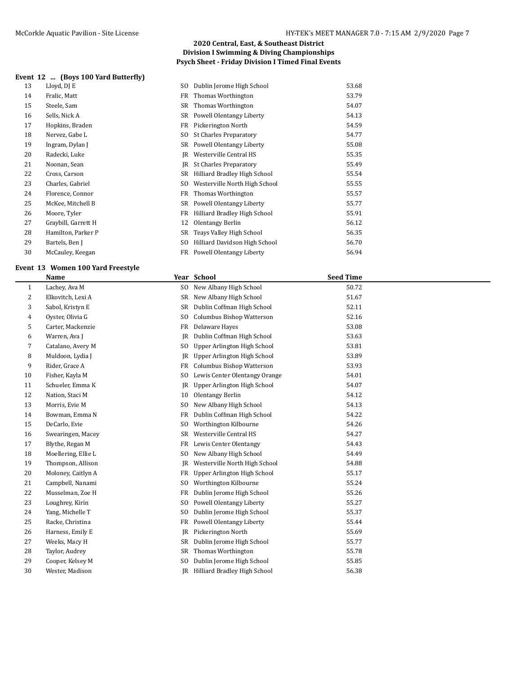## **Event 12 ... (Boys 100 Yard Butterfly)**

| 13 | Lloyd, DJ E         | SO. | Dublin Jerome High School       | 53.68 |
|----|---------------------|-----|---------------------------------|-------|
| 14 | Fralic, Matt        | FR  | Thomas Worthington              | 53.79 |
| 15 | Steele, Sam         | SR. | Thomas Worthington              | 54.07 |
| 16 | Sells, Nick A       |     | SR Powell Olentangy Liberty     | 54.13 |
| 17 | Hopkins, Braden     | FR  | Pickerington North              | 54.59 |
| 18 | Nervez, Gabe L      | SO. | <b>St Charles Preparatory</b>   | 54.77 |
| 19 | Ingram, Dylan J     |     | SR Powell Olentangy Liberty     | 55.08 |
| 20 | Radecki, Luke       |     | JR Westerville Central HS       | 55.35 |
| 21 | Noonan, Sean        |     | IR St Charles Preparatory       | 55.49 |
| 22 | Cross, Carson       |     | SR Hilliard Bradley High School | 55.54 |
| 23 | Charles, Gabriel    | SO. | Westerville North High School   | 55.55 |
| 24 | Florence, Connor    |     | FR Thomas Worthington           | 55.57 |
| 25 | McKee, Mitchell B   |     | SR Powell Olentangy Liberty     | 55.77 |
| 26 | Moore, Tyler        | FR  | Hilliard Bradley High School    | 55.91 |
| 27 | Graybill, Garrett H | 12  | Olentangy Berlin                | 56.12 |
| 28 | Hamilton, Parker P  | SR  | Teays Valley High School        | 56.35 |
| 29 | Bartels, Ben J      | SO. | Hilliard Davidson High School   | 56.70 |
| 30 | McCauley, Keegan    |     | FR Powell Olentangy Liberty     | 56.94 |

## **Event 13 Women 100 Yard Freestyle**

|    | <b>Name</b>         |                | Year School                   | <b>Seed Time</b> |
|----|---------------------|----------------|-------------------------------|------------------|
| 1  | Lachey, Ava M       | SO.            | New Albany High School        | 50.72            |
| 2  | Elkovitch, Lexi A   | SR             | New Albany High School        | 51.67            |
| 3  | Sabol, Kristyn E    | <b>SR</b>      | Dublin Coffman High School    | 52.11            |
| 4  | Oyster, Olivia G    | S <sub>0</sub> | Columbus Bishop Watterson     | 52.16            |
| 5  | Carter, Mackenzie   | FR             | Delaware Hayes                | 53.08            |
| 6  | Warren, Ava J       | IR             | Dublin Coffman High School    | 53.63            |
| 7  | Catalano, Avery M   | S <sub>0</sub> | Upper Arlington High School   | 53.81            |
| 8  | Muldoon, Lydia J    | JR             | Upper Arlington High School   | 53.89            |
| 9  | Rider, Grace A      | FR             | Columbus Bishop Watterson     | 53.93            |
| 10 | Fisher, Kayla M     | S <sub>O</sub> | Lewis Center Olentangy Orange | 54.01            |
| 11 | Schueler, Emma K    | JR             | Upper Arlington High School   | 54.07            |
| 12 | Nation, Staci M     | 10             | <b>Olentangy Berlin</b>       | 54.12            |
| 13 | Morris, Evie M      | S <sub>0</sub> | New Albany High School        | 54.13            |
| 14 | Bowman, Emma N      | FR             | Dublin Coffman High School    | 54.22            |
| 15 | DeCarlo, Evie       | S <sub>0</sub> | Worthington Kilbourne         | 54.26            |
| 16 | Swearingen, Macey   | <b>SR</b>      | Westerville Central HS        | 54.27            |
| 17 | Blythe, Regan M     | FR             | Lewis Center Olentangy        | 54.43            |
| 18 | Moellering, Ellie L | S <sub>O</sub> | New Albany High School        | 54.49            |
| 19 | Thompson, Allison   | JR             | Westerville North High School | 54.88            |
| 20 | Moloney, Caitlyn A  | FR             | Upper Arlington High School   | 55.17            |
| 21 | Campbell, Nanami    | S <sub>0</sub> | Worthington Kilbourne         | 55.24            |
| 22 | Musselman, Zoe H    | FR             | Dublin Jerome High School     | 55.26            |
| 23 | Loughrey, Kirin     | S <sub>0</sub> | Powell Olentangy Liberty      | 55.27            |
| 24 | Yang, Michelle T    | S <sub>O</sub> | Dublin Jerome High School     | 55.37            |
| 25 | Racke, Christina    | FR             | Powell Olentangy Liberty      | 55.44            |
| 26 | Harness, Emily E    | IR             | Pickerington North            | 55.69            |
| 27 | Weeks, Macy H       | SR             | Dublin Jerome High School     | 55.77            |
| 28 | Taylor, Audrey      | <b>SR</b>      | Thomas Worthington            | 55.78            |
| 29 | Cooper, Kelsey M    | S <sub>0</sub> | Dublin Jerome High School     | 55.85            |
| 30 | Wester, Madison     | IR             | Hilliard Bradley High School  | 56.38            |
|    |                     |                |                               |                  |

## **2020 Central, East, & Southeast District Division I Swimming & Diving Championships Psych Sheet - Friday Division I Timed Final Events**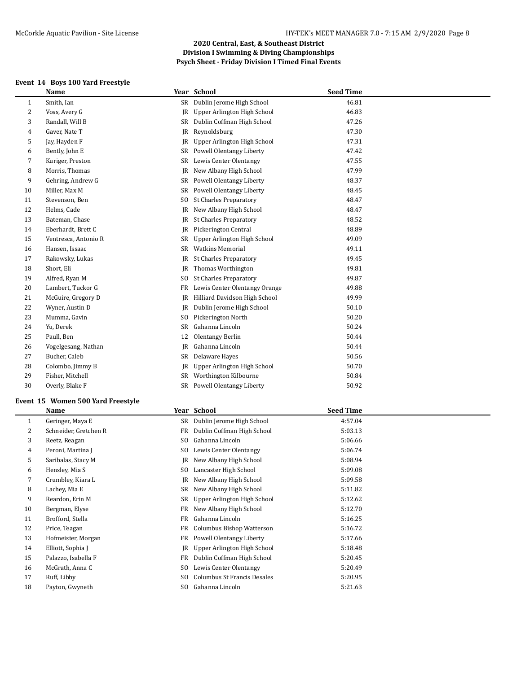## **Event 14 Boys 100 Yard Freestyle**

|    | Name                 |                | Year School                   | <b>Seed Time</b> |
|----|----------------------|----------------|-------------------------------|------------------|
| 1  | Smith, Ian           |                | SR Dublin Jerome High School  | 46.81            |
| 2  | Voss, Avery G        | <b>IR</b>      | Upper Arlington High School   | 46.83            |
| 3  | Randall, Will B      | SR             | Dublin Coffman High School    | 47.26            |
| 4  | Gaver, Nate T        | JR             | Reynoldsburg                  | 47.30            |
| 5  | Jay, Hayden F        | <b>IR</b>      | Upper Arlington High School   | 47.31            |
| 6  | Bently, John E       | SR             | Powell Olentangy Liberty      | 47.42            |
| 7  | Kuriger, Preston     | SR             | Lewis Center Olentangy        | 47.55            |
| 8  | Morris, Thomas       | JR             | New Albany High School        | 47.99            |
| 9  | Gehring, Andrew G    | <b>SR</b>      | Powell Olentangy Liberty      | 48.37            |
| 10 | Miller, Max M        | SR             | Powell Olentangy Liberty      | 48.45            |
| 11 | Stevenson, Ben       | S <sub>0</sub> | <b>St Charles Preparatory</b> | 48.47            |
| 12 | Helms, Cade          | JR             | New Albany High School        | 48.47            |
| 13 | Bateman, Chase       | JR             | <b>St Charles Preparatory</b> | 48.52            |
| 14 | Eberhardt, Brett C   | JR             | Pickerington Central          | 48.89            |
| 15 | Ventresca, Antonio R | SR             | Upper Arlington High School   | 49.09            |
| 16 | Hansen, Issaac       | SR             | <b>Watkins Memorial</b>       | 49.11            |
| 17 | Rakowsky, Lukas      | JR             | <b>St Charles Preparatory</b> | 49.45            |
| 18 | Short, Eli           | JR             | Thomas Worthington            | 49.81            |
| 19 | Alfred, Ryan M       | S <sub>0</sub> | <b>St Charles Preparatory</b> | 49.87            |
| 20 | Lambert, Tuckor G    | FR             | Lewis Center Olentangy Orange | 49.88            |
| 21 | McGuire, Gregory D   | JR             | Hilliard Davidson High School | 49.99            |
| 22 | Wyner, Austin D      | JR             | Dublin Jerome High School     | 50.10            |
| 23 | Mumma, Gavin         | S <sub>0</sub> | Pickerington North            | 50.20            |
| 24 | Yu, Derek            | <b>SR</b>      | Gahanna Lincoln               | 50.24            |
| 25 | Paull, Ben           | 12             | <b>Olentangy Berlin</b>       | 50.44            |
| 26 | Vogelgesang, Nathan  | JR             | Gahanna Lincoln               | 50.44            |
| 27 | Bucher, Caleb        | SR             | Delaware Hayes                | 50.56            |
| 28 | Colombo, Jimmy B     | JR             | Upper Arlington High School   | 50.70            |
| 29 | Fisher, Mitchell     | <b>SR</b>      | Worthington Kilbourne         | 50.84            |
| 30 | Overly, Blake F      | SR             | Powell Olentangy Liberty      | 50.92            |
|    |                      |                |                               |                  |

## **Event 15 Women 500 Yard Freestyle**

|    | Name                  |                | Year School                 | <b>Seed Time</b> |  |
|----|-----------------------|----------------|-----------------------------|------------------|--|
| 1  | Geringer, Maya E      | SR             | Dublin Jerome High School   | 4:57.04          |  |
| 2  | Schneider, Gretchen R | FR             | Dublin Coffman High School  | 5:03.13          |  |
| 3  | Reetz, Reagan         | S <sub>O</sub> | Gahanna Lincoln             | 5:06.66          |  |
| 4  | Peroni, Martina J     | SO.            | Lewis Center Olentangy      | 5:06.74          |  |
| 5  | Saribalas, Stacy M    | IR             | New Albany High School      | 5:08.94          |  |
| 6  | Hensley, Mia S        | S <sub>0</sub> | Lancaster High School       | 5:09.08          |  |
| 7  | Crumbley, Kiara L     | IR             | New Albany High School      | 5:09.58          |  |
| 8  | Lachey, Mia E         | SR             | New Albany High School      | 5:11.82          |  |
| 9  | Reardon, Erin M       | SR.            | Upper Arlington High School | 5:12.62          |  |
| 10 | Bergman, Elyse        | FR             | New Albany High School      | 5:12.70          |  |
| 11 | Brofford, Stella      | FR             | Gahanna Lincoln             | 5:16.25          |  |
| 12 | Price, Teagan         | FR             | Columbus Bishop Watterson   | 5:16.72          |  |
| 13 | Hofmeister, Morgan    | FR             | Powell Olentangy Liberty    | 5:17.66          |  |
| 14 | Elliott, Sophia J     | IR             | Upper Arlington High School | 5:18.48          |  |
| 15 | Palazzo, Isabella F   | FR             | Dublin Coffman High School  | 5:20.45          |  |
| 16 | McGrath, Anna C       | SO.            | Lewis Center Olentangy      | 5:20.49          |  |
| 17 | Ruff, Libby           | SO.            | Columbus St Francis Desales | 5:20.95          |  |
| 18 | Payton, Gwyneth       | SO.            | Gahanna Lincoln             | 5:21.63          |  |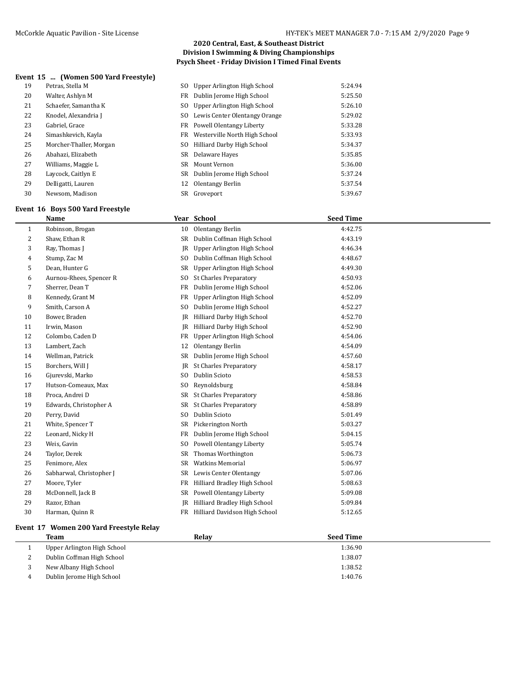## **Event 15 ... (Women 500 Yard Freestyle)**

| 19 | Petras, Stella M        | SO. | Upper Arlington High School      | 5:24.94 |
|----|-------------------------|-----|----------------------------------|---------|
| 20 | Walter, Ashlyn M        |     | FR Dublin Jerome High School     | 5:25.50 |
| 21 | Schaefer, Samantha K    | SO. | Upper Arlington High School      | 5:26.10 |
| 22 | Knodel, Alexandria J    |     | SO Lewis Center Olentangy Orange | 5:29.02 |
| 23 | Gabriel, Grace          |     | FR Powell Olentangy Liberty      | 5:33.28 |
| 24 | Simashkevich, Kayla     |     | FR Westerville North High School | 5:33.93 |
| 25 | Morcher-Thaller, Morgan |     | SO Hilliard Darby High School    | 5:34.37 |
| 26 | Abahazi, Elizabeth      |     | SR Delaware Hayes                | 5:35.85 |
| 27 | Williams, Maggie L      |     | SR Mount Vernon                  | 5:36.00 |
| 28 | Laycock, Caitlyn E      |     | SR Dublin Jerome High School     | 5:37.24 |
| 29 | Delligatti, Lauren      | 12  | Olentangy Berlin                 | 5:37.54 |
| 30 | Newsom, Madison         |     | SR Groveport                     | 5:39.67 |

#### **Event 16 Boys 500 Yard Freestyle**

|    | Name                     |                | Year School                   | <b>Seed Time</b> |
|----|--------------------------|----------------|-------------------------------|------------------|
| 1  | Robinson, Brogan         | 10             | Olentangy Berlin              | 4:42.75          |
| 2  | Shaw, Ethan R            | SR             | Dublin Coffman High School    | 4:43.19          |
| 3  | Ray, Thomas J            | IR             | Upper Arlington High School   | 4:46.34          |
| 4  | Stump, Zac M             | SO.            | Dublin Coffman High School    | 4:48.67          |
| 5  | Dean, Hunter G           | SR             | Upper Arlington High School   | 4:49.30          |
| 6  | Aurnou-Rhees, Spencer R  | SO.            | <b>St Charles Preparatory</b> | 4:50.93          |
| 7  | Sherrer, Dean T          | FR             | Dublin Jerome High School     | 4:52.06          |
| 8  | Kennedy, Grant M         | FR             | Upper Arlington High School   | 4:52.09          |
| 9  | Smith, Carson A          | SO.            | Dublin Jerome High School     | 4:52.27          |
| 10 | Bower, Braden            | JR             | Hilliard Darby High School    | 4:52.70          |
| 11 | Irwin, Mason             | IR             | Hilliard Darby High School    | 4:52.90          |
| 12 | Colombo, Caden D         | FR             | Upper Arlington High School   | 4:54.06          |
| 13 | Lambert, Zach            | 12             | Olentangy Berlin              | 4:54.09          |
| 14 | Wellman, Patrick         | SR             | Dublin Jerome High School     | 4:57.60          |
| 15 | Borchers, Will J         | IR             | <b>St Charles Preparatory</b> | 4:58.17          |
| 16 | Gjurevski, Marko         | S <sub>0</sub> | Dublin Scioto                 | 4:58.53          |
| 17 | Hutson-Comeaux, Max      | S <sub>0</sub> | Reynoldsburg                  | 4:58.84          |
| 18 | Proca, Andrei D          | <b>SR</b>      | <b>St Charles Preparatory</b> | 4:58.86          |
| 19 | Edwards, Christopher A   | SR             | <b>St Charles Preparatory</b> | 4:58.89          |
| 20 | Perry, David             | SO.            | Dublin Scioto                 | 5:01.49          |
| 21 | White, Spencer T         | SR             | Pickerington North            | 5:03.27          |
| 22 | Leonard, Nicky H         | FR             | Dublin Jerome High School     | 5:04.15          |
| 23 | Weis, Gavin              | S <sub>O</sub> | Powell Olentangy Liberty      | 5:05.74          |
| 24 | Taylor, Derek            | SR             | Thomas Worthington            | 5:06.73          |
| 25 | Fenimore, Alex           | <b>SR</b>      | <b>Watkins Memorial</b>       | 5:06.97          |
| 26 | Sabharwal, Christopher J | <b>SR</b>      | Lewis Center Olentangy        | 5:07.06          |
| 27 | Moore, Tyler             | FR             | Hilliard Bradley High School  | 5:08.63          |
| 28 | McDonnell, Jack B        | SR             | Powell Olentangy Liberty      | 5:09.08          |
| 29 | Razor, Ethan             | <b>JR</b>      | Hilliard Bradley High School  | 5:09.84          |
| 30 | Harman, Quinn R          | FR             | Hilliard Davidson High School | 5:12.65          |

## **Event 17 Women 200 Yard Freestyle Relay**

|   | Team                        | Relay | <b>Seed Time</b> |
|---|-----------------------------|-------|------------------|
|   | Upper Arlington High School |       | 1:36.90          |
| ∼ | Dublin Coffman High School  |       | 1:38.07          |
|   | New Albany High School      |       | 1:38.52          |
|   | Dublin Jerome High School   |       | 1:40.76          |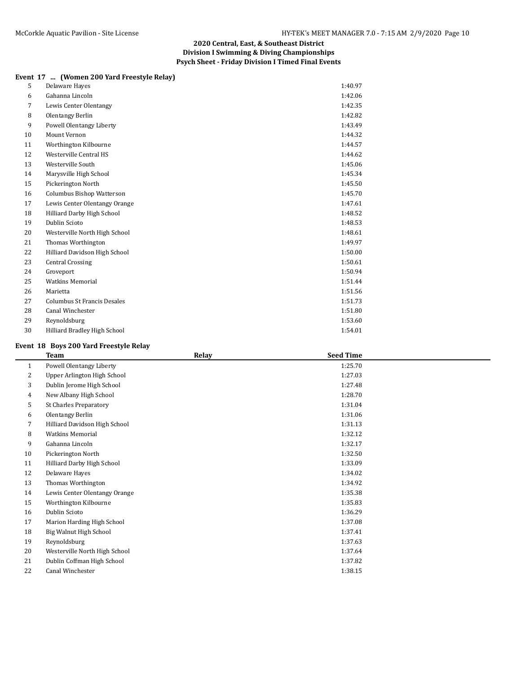## **Event 17 ... (Women 200 Yard Freestyle Relay)**

| 5  | Delaware Hayes                   | 1:40.97 |
|----|----------------------------------|---------|
| 6  | Gahanna Lincoln                  | 1:42.06 |
| 7  | Lewis Center Olentangy           | 1:42.35 |
| 8  | Olentangy Berlin                 | 1:42.82 |
| 9  | Powell Olentangy Liberty         | 1:43.49 |
| 10 | Mount Vernon                     | 1:44.32 |
| 11 | Worthington Kilbourne            | 1:44.57 |
| 12 | Westerville Central HS           | 1:44.62 |
| 13 | Westerville South                | 1:45.06 |
| 14 | Marysville High School           | 1:45.34 |
| 15 | Pickerington North               | 1:45.50 |
| 16 | <b>Columbus Bishop Watterson</b> | 1:45.70 |
| 17 | Lewis Center Olentangy Orange    | 1:47.61 |
| 18 | Hilliard Darby High School       | 1:48.52 |
| 19 | Dublin Scioto                    | 1:48.53 |
| 20 | Westerville North High School    | 1:48.61 |
| 21 | Thomas Worthington               | 1:49.97 |
| 22 | Hilliard Davidson High School    | 1:50.00 |
| 23 | <b>Central Crossing</b>          | 1:50.61 |
| 24 | Groveport                        | 1:50.94 |
| 25 | <b>Watkins Memorial</b>          | 1:51.44 |
| 26 | Marietta                         | 1:51.56 |
| 27 | Columbus St Francis Desales      | 1:51.73 |
| 28 | Canal Winchester                 | 1:51.80 |
| 29 | Reynoldsburg                     | 1:53.60 |
| 30 | Hilliard Bradley High School     | 1:54.01 |

## **Event 18 Boys 200 Yard Freestyle Relay**

|              | <b>Team</b>                   | Relay | <b>Seed Time</b> |  |
|--------------|-------------------------------|-------|------------------|--|
| $\mathbf{1}$ | Powell Olentangy Liberty      |       | 1:25.70          |  |
| 2            | Upper Arlington High School   |       | 1:27.03          |  |
| 3            | Dublin Jerome High School     |       | 1:27.48          |  |
| 4            | New Albany High School        |       | 1:28.70          |  |
| 5            | <b>St Charles Preparatory</b> |       | 1:31.04          |  |
| 6            | Olentangy Berlin              |       | 1:31.06          |  |
| 7            | Hilliard Davidson High School |       | 1:31.13          |  |
| 8            | <b>Watkins Memorial</b>       |       | 1:32.12          |  |
| 9            | Gahanna Lincoln               |       | 1:32.17          |  |
| 10           | Pickerington North            |       | 1:32.50          |  |
| 11           | Hilliard Darby High School    |       | 1:33.09          |  |
| 12           | Delaware Hayes                |       | 1:34.02          |  |
| 13           | Thomas Worthington            |       | 1:34.92          |  |
| 14           | Lewis Center Olentangy Orange |       | 1:35.38          |  |
| 15           | Worthington Kilbourne         |       | 1:35.83          |  |
| 16           | Dublin Scioto                 |       | 1:36.29          |  |
| 17           | Marion Harding High School    |       | 1:37.08          |  |
| 18           | Big Walnut High School        |       | 1:37.41          |  |
| 19           | Reynoldsburg                  |       | 1:37.63          |  |
| 20           | Westerville North High School |       | 1:37.64          |  |
| 21           | Dublin Coffman High School    |       | 1:37.82          |  |
| 22           | Canal Winchester              |       | 1:38.15          |  |
|              |                               |       |                  |  |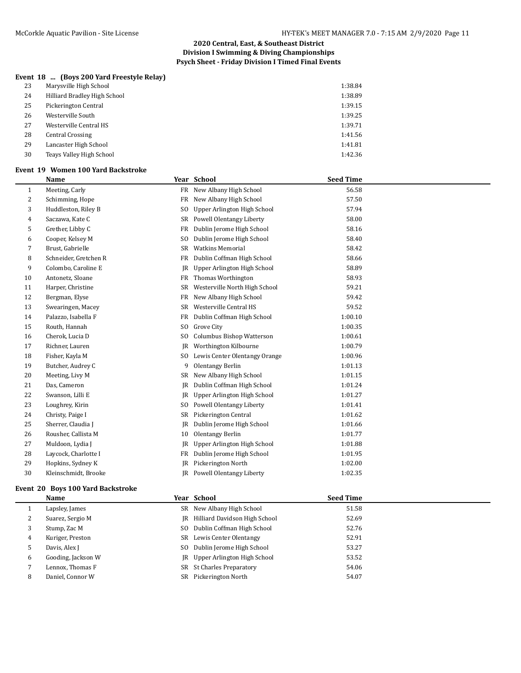## **Event 18 ... (Boys 200 Yard Freestyle Relay)**

| 23 | Marysville High School       | 1:38.84 |
|----|------------------------------|---------|
| 24 | Hilliard Bradley High School | 1:38.89 |
| 25 | Pickerington Central         | 1:39.15 |
| 26 | Westerville South            | 1:39.25 |
| 27 | Westerville Central HS       | 1:39.71 |
| 28 | <b>Central Crossing</b>      | 1:41.56 |
| 29 | Lancaster High School        | 1:41.81 |
| 30 | Teays Valley High School     | 1:42.36 |

#### **Event 19 Women 100 Yard Backstroke**

|    | <b>Name</b>           |                | Year School                   | <b>Seed Time</b> |
|----|-----------------------|----------------|-------------------------------|------------------|
| 1  | Meeting, Carly        | FR             | New Albany High School        | 56.58            |
| 2  | Schimming, Hope       | FR             | New Albany High School        | 57.50            |
| 3  | Huddleston, Riley B   | S <sub>0</sub> | Upper Arlington High School   | 57.94            |
| 4  | Saczawa, Kate C       | SR             | Powell Olentangy Liberty      | 58.00            |
| 5  | Grether, Libby C      | FR             | Dublin Jerome High School     | 58.16            |
| 6  | Cooper, Kelsey M      | S <sub>0</sub> | Dublin Jerome High School     | 58.40            |
| 7  | Brust, Gabrielle      | SR             | <b>Watkins Memorial</b>       | 58.42            |
| 8  | Schneider, Gretchen R | FR             | Dublin Coffman High School    | 58.66            |
| 9  | Colombo, Caroline E   | JR             | Upper Arlington High School   | 58.89            |
| 10 | Antonetz, Sloane      | FR             | Thomas Worthington            | 58.93            |
| 11 | Harper, Christine     | SR             | Westerville North High School | 59.21            |
| 12 | Bergman, Elyse        | FR             | New Albany High School        | 59.42            |
| 13 | Swearingen, Macey     | SR             | Westerville Central HS        | 59.52            |
| 14 | Palazzo, Isabella F   | FR             | Dublin Coffman High School    | 1:00.10          |
| 15 | Routh, Hannah         | S <sub>0</sub> | Grove City                    | 1:00.35          |
| 16 | Cherok, Lucia D       | S <sub>0</sub> | Columbus Bishop Watterson     | 1:00.61          |
| 17 | Richner, Lauren       | JR             | Worthington Kilbourne         | 1:00.79          |
| 18 | Fisher, Kayla M       | SO.            | Lewis Center Olentangy Orange | 1:00.96          |
| 19 | Butcher, Audrey C     | 9              | Olentangy Berlin              | 1:01.13          |
| 20 | Meeting, Livy M       | SR             | New Albany High School        | 1:01.15          |
| 21 | Das, Cameron          | <b>IR</b>      | Dublin Coffman High School    | 1:01.24          |
| 22 | Swanson, Lilli E      | JR             | Upper Arlington High School   | 1:01.27          |
| 23 | Loughrey, Kirin       | S <sub>0</sub> | Powell Olentangy Liberty      | 1:01.41          |
| 24 | Christy, Paige I      | SR             | Pickerington Central          | 1:01.62          |
| 25 | Sherrer, Claudia J    | JR             | Dublin Jerome High School     | 1:01.66          |
| 26 | Rousher, Callista M   | 10             | Olentangy Berlin              | 1:01.77          |
| 27 | Muldoon, Lydia J      | JR             | Upper Arlington High School   | 1:01.88          |
| 28 | Laycock, Charlotte I  | FR             | Dublin Jerome High School     | 1:01.95          |
| 29 | Hopkins, Sydney K     | JR             | Pickerington North            | 1:02.00          |
| 30 | Kleinschmidt, Brooke  |                | JR Powell Olentangy Liberty   | 1:02.35          |
|    |                       |                |                               |                  |

#### **Event 20 Boys 100 Yard Backstroke**

|   | Name               |     | Year School                           | <b>Seed Time</b> |
|---|--------------------|-----|---------------------------------------|------------------|
|   | Lapsley, James     |     | SR New Albany High School             | 51.58            |
| 4 | Suarez, Sergio M   | IR  | Hilliard Davidson High School         | 52.69            |
| 3 | Stump, Zac M       | SO. | Dublin Coffman High School            | 52.76            |
| 4 | Kuriger, Preston   |     | SR Lewis Center Olentangy             | 52.91            |
| כ | Davis, Alex J      | SO. | Dublin Jerome High School             | 53.27            |
| 6 | Gooding, Jackson W |     | <b>IR</b> Upper Arlington High School | 53.52            |
|   | Lennox, Thomas F   |     | SR St Charles Preparatory             | 54.06            |
| 8 | Daniel, Connor W   | SR. | Pickerington North                    | 54.07            |
|   |                    |     |                                       |                  |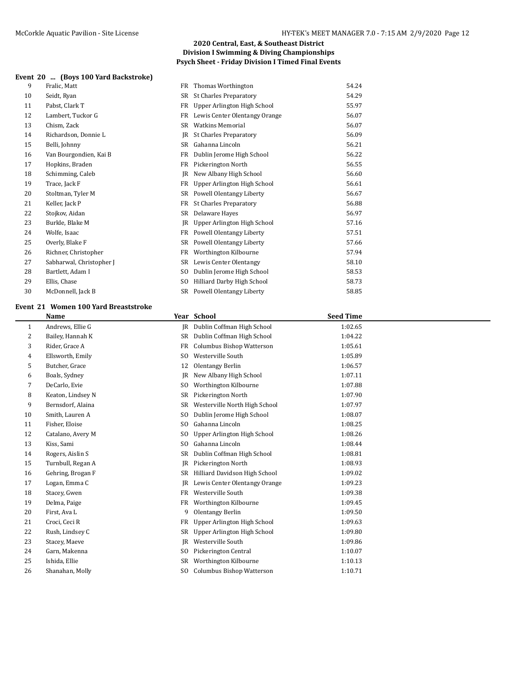## **Event 20 ... (Boys 100 Yard Backstroke)**

| 9  | Fralic, Matt             |                | FR Thomas Worthington         | 54.24 |
|----|--------------------------|----------------|-------------------------------|-------|
| 10 | Seidt, Ryan              | SR             | <b>St Charles Preparatory</b> | 54.29 |
| 11 | Pabst, Clark T           | FR             | Upper Arlington High School   | 55.97 |
| 12 | Lambert, Tuckor G        | FR             | Lewis Center Olentangy Orange | 56.07 |
| 13 | Chism, Zack              | SR             | <b>Watkins Memorial</b>       | 56.07 |
| 14 | Richardson, Donnie L     | IR             | <b>St Charles Preparatory</b> | 56.09 |
| 15 | Belli, Johnny            | SR             | Gahanna Lincoln               | 56.21 |
| 16 | Van Bourgondien, Kai B   | FR             | Dublin Jerome High School     | 56.22 |
| 17 | Hopkins, Braden          | FR             | Pickerington North            | 56.55 |
| 18 | Schimming, Caleb         | IR             | New Albany High School        | 56.60 |
| 19 | Trace, Jack F            | FR             | Upper Arlington High School   | 56.61 |
| 20 | Stoltman, Tyler M        |                | SR Powell Olentangy Liberty   | 56.67 |
| 21 | Keller, Jack P           | FR             | <b>St Charles Preparatory</b> | 56.88 |
| 22 | Stojkov, Aidan           |                | SR Delaware Hayes             | 56.97 |
| 23 | Burkle, Blake M          | IR             | Upper Arlington High School   | 57.16 |
| 24 | Wolfe, Isaac             | FR             | Powell Olentangy Liberty      | 57.51 |
| 25 | Overly, Blake F          | SR             | Powell Olentangy Liberty      | 57.66 |
| 26 | Richner, Christopher     | FR             | Worthington Kilbourne         | 57.94 |
| 27 | Sabharwal, Christopher J |                | SR Lewis Center Olentangy     | 58.10 |
| 28 | Bartlett, Adam I         | S <sub>0</sub> | Dublin Jerome High School     | 58.53 |
| 29 | Ellis, Chase             | S <sub>0</sub> | Hilliard Darby High School    | 58.73 |
| 30 | McDonnell, Jack B        |                | SR Powell Olentangy Liberty   | 58.85 |

#### **Event 21 Women 100 Yard Breaststroke**

|                | <b>Name</b>       |                | Year School                      | <b>Seed Time</b> |  |
|----------------|-------------------|----------------|----------------------------------|------------------|--|
| 1              | Andrews, Ellie G  | IR             | Dublin Coffman High School       | 1:02.65          |  |
| 2              | Bailey, Hannah K  | SR             | Dublin Coffman High School       | 1:04.22          |  |
| 3              | Rider, Grace A    | FR             | <b>Columbus Bishop Watterson</b> | 1:05.61          |  |
| $\overline{4}$ | Ellsworth, Emily  | S <sub>0</sub> | Westerville South                | 1:05.89          |  |
| 5              | Butcher, Grace    | 12             | Olentangy Berlin                 | 1:06.57          |  |
| 6              | Boals, Sydney     | JR             | New Albany High School           | 1:07.11          |  |
| 7              | DeCarlo, Evie     | S <sub>0</sub> | Worthington Kilbourne            | 1:07.88          |  |
| 8              | Keaton, Lindsey N | SR             | Pickerington North               | 1:07.90          |  |
| 9              | Bernsdorf, Alaina | SR             | Westerville North High School    | 1:07.97          |  |
| 10             | Smith, Lauren A   | S <sub>0</sub> | Dublin Jerome High School        | 1:08.07          |  |
| 11             | Fisher, Eloise    | S <sub>0</sub> | Gahanna Lincoln                  | 1:08.25          |  |
| 12             | Catalano, Avery M | S <sub>0</sub> | Upper Arlington High School      | 1:08.26          |  |
| 13             | Kiss, Sami        | S <sub>0</sub> | Gahanna Lincoln                  | 1:08.44          |  |
| 14             | Rogers, Aislin S  | SR             | Dublin Coffman High School       | 1:08.81          |  |
| 15             | Turnbull, Regan A | JR             | Pickerington North               | 1:08.93          |  |
| 16             | Gehring, Brogan F | SR             | Hilliard Davidson High School    | 1:09.02          |  |
| 17             | Logan, Emma C     | JR             | Lewis Center Olentangy Orange    | 1:09.23          |  |
| 18             | Stacey, Gwen      | <b>FR</b>      | Westerville South                | 1:09.38          |  |
| 19             | Delma, Paige      | FR             | Worthington Kilbourne            | 1:09.45          |  |
| 20             | First, Ava L      | 9              | Olentangy Berlin                 | 1:09.50          |  |
| 21             | Croci, Ceci R     | <b>FR</b>      | Upper Arlington High School      | 1:09.63          |  |
| 22             | Rush, Lindsey C   | SR             | Upper Arlington High School      | 1:09.80          |  |
| 23             | Stacey, Maeve     | JR             | Westerville South                | 1:09.86          |  |
| 24             | Garn, Makenna     | S <sub>0</sub> | Pickerington Central             | 1:10.07          |  |
| 25             | Ishida, Ellie     | SR             | Worthington Kilbourne            | 1:10.13          |  |
| 26             | Shanahan, Molly   | S <sub>0</sub> | <b>Columbus Bishop Watterson</b> | 1:10.71          |  |
|                |                   |                |                                  |                  |  |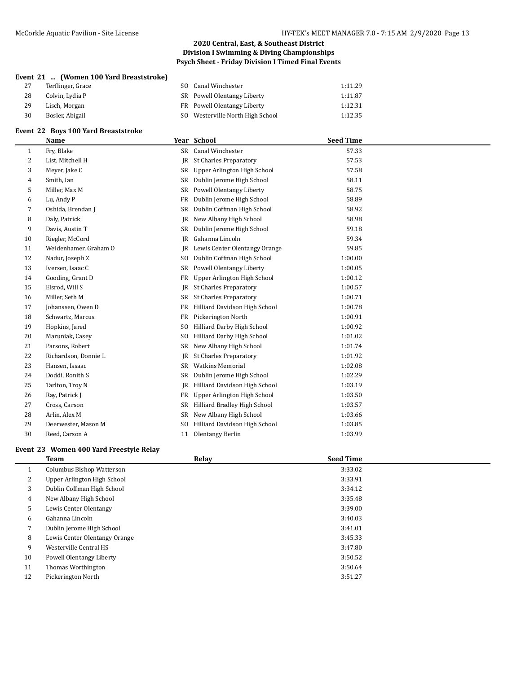## **Event 21 ... (Women 100 Yard Breaststroke)**

| 27 | Terflinger, Grace | SO Canal Winchester              | 1:11.29 |
|----|-------------------|----------------------------------|---------|
| 28 | Colvin. Lvdia P   | SR Powell Olentangy Liberty      | 1:11.87 |
| 29 | Lisch, Morgan     | FR Powell Olentangy Liberty      | 1:12.31 |
| 30 | Bosler, Abigail   | SO Westerville North High School | 1:12.35 |
|    |                   |                                  |         |

## **Event 22 Boys 100 Yard Breaststroke**

|    | <b>Name</b>           |                | Year School                   | <b>Seed Time</b> |  |
|----|-----------------------|----------------|-------------------------------|------------------|--|
| 1  | Fry, Blake            |                | SR Canal Winchester           | 57.33            |  |
| 2  | List, Mitchell H      | JR             | <b>St Charles Preparatory</b> | 57.53            |  |
| 3  | Meyer, Jake C         | <b>SR</b>      | Upper Arlington High School   | 57.58            |  |
| 4  | Smith, Ian            | SR             | Dublin Jerome High School     | 58.11            |  |
| 5  | Miller, Max M         | SR             | Powell Olentangy Liberty      | 58.75            |  |
| 6  | Lu, Andy P            | FR             | Dublin Jerome High School     | 58.89            |  |
| 7  | Oshida, Brendan J     | SR             | Dublin Coffman High School    | 58.92            |  |
| 8  | Daly, Patrick         | JR             | New Albany High School        | 58.98            |  |
| 9  | Davis, Austin T       | SR             | Dublin Jerome High School     | 59.18            |  |
| 10 | Riegler, McCord       | <b>IR</b>      | Gahanna Lincoln               | 59.34            |  |
| 11 | Weidenhamer, Graham O | JR             | Lewis Center Olentangy Orange | 59.85            |  |
| 12 | Nadur, Joseph Z       | S <sub>0</sub> | Dublin Coffman High School    | 1:00.00          |  |
| 13 | Iversen, Isaac C      | SR             | Powell Olentangy Liberty      | 1:00.05          |  |
| 14 | Gooding, Grant D      | FR             | Upper Arlington High School   | 1:00.12          |  |
| 15 | Elsrod, Will S        | <b>IR</b>      | <b>St Charles Preparatory</b> | 1:00.57          |  |
| 16 | Miller, Seth M        | SR             | <b>St Charles Preparatory</b> | 1:00.71          |  |
| 17 | Johanssen, Owen D     | FR             | Hilliard Davidson High School | 1:00.78          |  |
| 18 | Schwartz, Marcus      | FR             | Pickerington North            | 1:00.91          |  |
| 19 | Hopkins, Jared        | S <sub>0</sub> | Hilliard Darby High School    | 1:00.92          |  |
| 20 | Maruniak, Casey       | S <sub>0</sub> | Hilliard Darby High School    | 1:01.02          |  |
| 21 | Parsons, Robert       | SR             | New Albany High School        | 1:01.74          |  |
| 22 | Richardson, Donnie L  | JR             | <b>St Charles Preparatory</b> | 1:01.92          |  |
| 23 | Hansen, Issaac        | SR             | <b>Watkins Memorial</b>       | 1:02.08          |  |
| 24 | Doddi, Ronith S       | SR             | Dublin Jerome High School     | 1:02.29          |  |
| 25 | Tarlton, Troy N       | JR             | Hilliard Davidson High School | 1:03.19          |  |
| 26 | Ray, Patrick J        | FR             | Upper Arlington High School   | 1:03.50          |  |
| 27 | Cross, Carson         | SR             | Hilliard Bradley High School  | 1:03.57          |  |
| 28 | Arlin, Alex M         | <b>SR</b>      | New Albany High School        | 1:03.66          |  |
| 29 | Deerwester, Mason M   | S <sub>0</sub> | Hilliard Davidson High School | 1:03.85          |  |
| 30 | Reed, Carson A        | 11             | Olentangy Berlin              | 1:03.99          |  |

## **Event 23 Women 400 Yard Freestyle Relay**

|                | Team                          | Relay | <b>Seed Time</b> |  |
|----------------|-------------------------------|-------|------------------|--|
|                | Columbus Bishop Watterson     |       | 3:33.02          |  |
| $\overline{2}$ | Upper Arlington High School   |       | 3:33.91          |  |
| 3              | Dublin Coffman High School    |       | 3:34.12          |  |
| $\overline{4}$ | New Albany High School        |       | 3:35.48          |  |
| 5              | Lewis Center Olentangy        |       | 3:39.00          |  |
| 6              | Gahanna Lincoln               |       | 3:40.03          |  |
| 7              | Dublin Jerome High School     |       | 3:41.01          |  |
| 8              | Lewis Center Olentangy Orange |       | 3:45.33          |  |
| 9              | Westerville Central HS        |       | 3:47.80          |  |
| 10             | Powell Olentangy Liberty      |       | 3:50.52          |  |
| 11             | Thomas Worthington            |       | 3:50.64          |  |
| 12             | Pickerington North            |       | 3:51.27          |  |
|                |                               |       |                  |  |